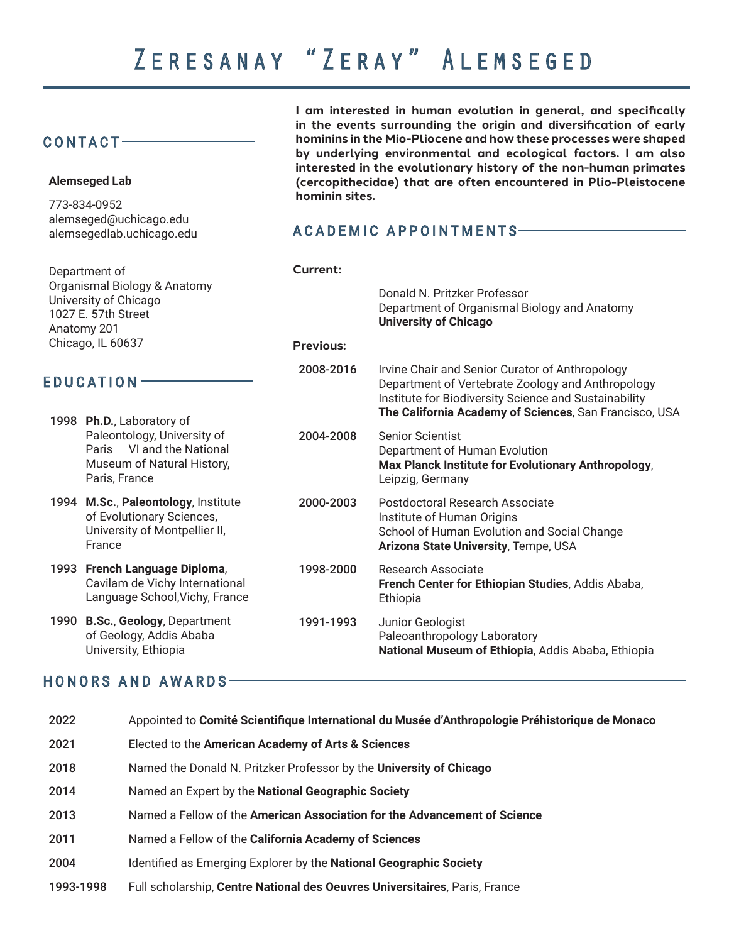**hominin sites.**

**I am interested in human evolution in general, and specifically in the events surrounding the origin and diversification of early hominins in the Mio-Pliocene and how these processes were shaped by underlying environmental and ecological factors. I am also interested in the evolutionary history of the non-human primates (cercopithecidae) that are often encountered in Plio-Pleistocene** 

#### CONTACT

**Alemseged Lab** 773-834-0952

| alemseged@uchicago.edu<br>alemsegedlab.uchicago.edu<br>Department of<br>Organismal Biology & Anatomy<br>University of Chicago<br>1027 E. 57th Street<br>Anatomy 201<br>Chicago, IL 60637 |                                                                                                                                      | <b>ACADEMIC APPOINTMENTS</b>        |                                                                                                                                                               |  |
|------------------------------------------------------------------------------------------------------------------------------------------------------------------------------------------|--------------------------------------------------------------------------------------------------------------------------------------|-------------------------------------|---------------------------------------------------------------------------------------------------------------------------------------------------------------|--|
|                                                                                                                                                                                          |                                                                                                                                      |                                     |                                                                                                                                                               |  |
|                                                                                                                                                                                          |                                                                                                                                      | <b>Current:</b><br><b>Previous:</b> | Donald N. Pritzker Professor<br>Department of Organismal Biology and Anatomy<br><b>University of Chicago</b>                                                  |  |
| EDUCATION                                                                                                                                                                                |                                                                                                                                      | 2008-2016                           | Irvine Chair and Senior Curator of Anthropology<br>Department of Vertebrate Zoology and Anthropology<br>Institute for Biodiversity Science and Sustainability |  |
|                                                                                                                                                                                          | 1998 Ph.D., Laboratory of<br>Paleontology, University of<br>Paris VI and the National<br>Museum of Natural History,<br>Paris, France |                                     | The California Academy of Sciences, San Francisco, USA                                                                                                        |  |
|                                                                                                                                                                                          |                                                                                                                                      | 2004-2008                           | <b>Senior Scientist</b><br>Department of Human Evolution<br>Max Planck Institute for Evolutionary Anthropology,<br>Leipzig, Germany                           |  |
|                                                                                                                                                                                          | 1994 M.Sc., Paleontology, Institute<br>of Evolutionary Sciences,<br>University of Montpellier II,<br>France                          | 2000-2003                           | Postdoctoral Research Associate<br>Institute of Human Origins<br>School of Human Evolution and Social Change<br>Arizona State University, Tempe, USA          |  |
|                                                                                                                                                                                          | 1993 French Language Diploma,<br>Cavilam de Vichy International<br>Language School, Vichy, France                                    | 1998-2000                           | <b>Research Associate</b><br>French Center for Ethiopian Studies, Addis Ababa,<br>Ethiopia                                                                    |  |
| 1990                                                                                                                                                                                     | <b>B.Sc., Geology, Department</b><br>of Geology, Addis Ababa<br>University, Ethiopia                                                 | 1991-1993                           | Junior Geologist<br>Paleoanthropology Laboratory<br>National Museum of Ethiopia, Addis Ababa, Ethiopia                                                        |  |
|                                                                                                                                                                                          |                                                                                                                                      |                                     |                                                                                                                                                               |  |

#### HONORS AND AWARDS

| 2022      | Appointed to Comité Scientifique International du Musée d'Anthropologie Préhistorique de Monaco |
|-----------|-------------------------------------------------------------------------------------------------|
| 2021      | Elected to the American Academy of Arts & Sciences                                              |
| 2018      | Named the Donald N. Pritzker Professor by the University of Chicago                             |
| 2014      | Named an Expert by the National Geographic Society                                              |
| 2013      | Named a Fellow of the American Association for the Advancement of Science                       |
| 2011      | Named a Fellow of the California Academy of Sciences                                            |
| 2004      | Identified as Emerging Explorer by the National Geographic Society                              |
| 1993-1998 | Full scholarship, Centre National des Oeuvres Universitaires, Paris, France                     |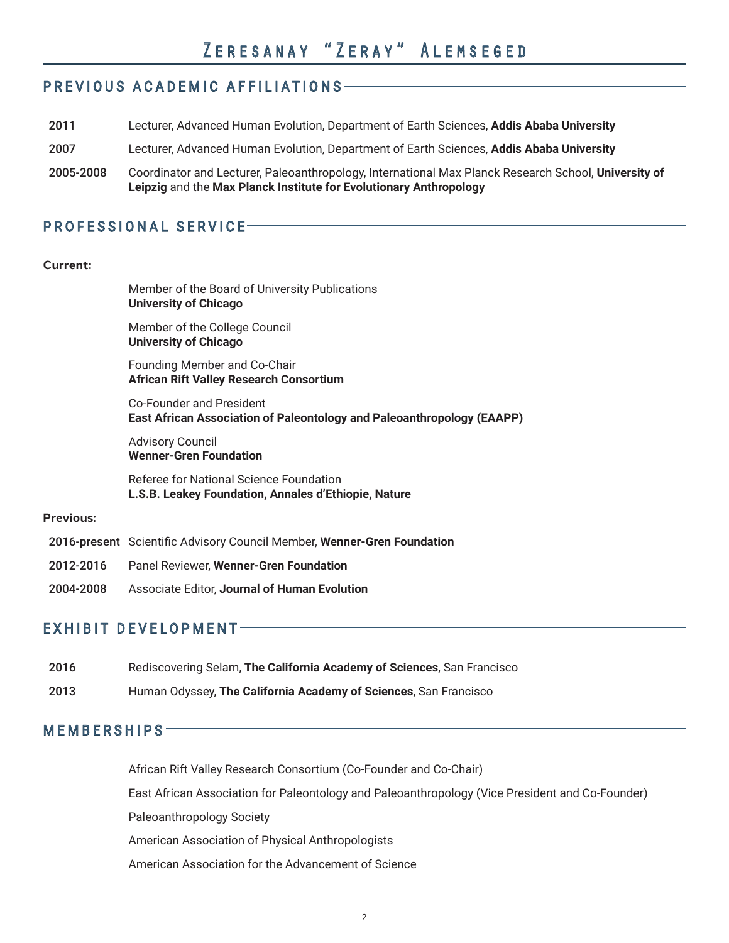## PREVIOUS ACADEMIC AFFILIATIONS

|           | Leipzig and the Max Planck Institute for Evolutionary Anthropology                                   |
|-----------|------------------------------------------------------------------------------------------------------|
| 2005-2008 | Coordinator and Lecturer, Paleoanthropology, International Max Planck Research School, University of |
| 2007      | Lecturer, Advanced Human Evolution, Department of Earth Sciences, Addis Ababa University             |
| 2011      | Lecturer, Advanced Human Evolution, Department of Earth Sciences, Addis Ababa University             |

#### PROFESSIONAL SERVICE

#### **Current:**

Member of the Board of University Publications **University of Chicago**

Member of the College Council **University of Chicago**

Founding Member and Co-Chair **African Rift Valley Research Consortium**

Co-Founder and President **East African Association of Paleontology and Paleoanthropology (EAAPP)**

Advisory Council **Wenner-Gren Foundation**

Referee for National Science Foundation **L.S.B. Leakey Foundation, Annales d'Ethiopie, Nature**

#### **Previous:**

- 2016-present Scientific Advisory Council Member, **Wenner-Gren Foundation**
- 2012-2016 Panel Reviewer, **Wenner-Gren Foundation**
- 2004-2008 Associate Editor, **Journal of Human Evolution**

#### EXHIBIT DEVELOPMENT

- 2016 Rediscovering Selam, **The California Academy of Sciences**, San Francisco
- 2013 Human Odyssey, **The California Academy of Sciences**, San Francisco

#### MEMBERSHIPS

African Rift Valley Research Consortium (Co-Founder and Co-Chair)

East African Association for Paleontology and Paleoanthropology (Vice President and Co-Founder)

Paleoanthropology Society

American Association of Physical Anthropologists

American Association for the Advancement of Science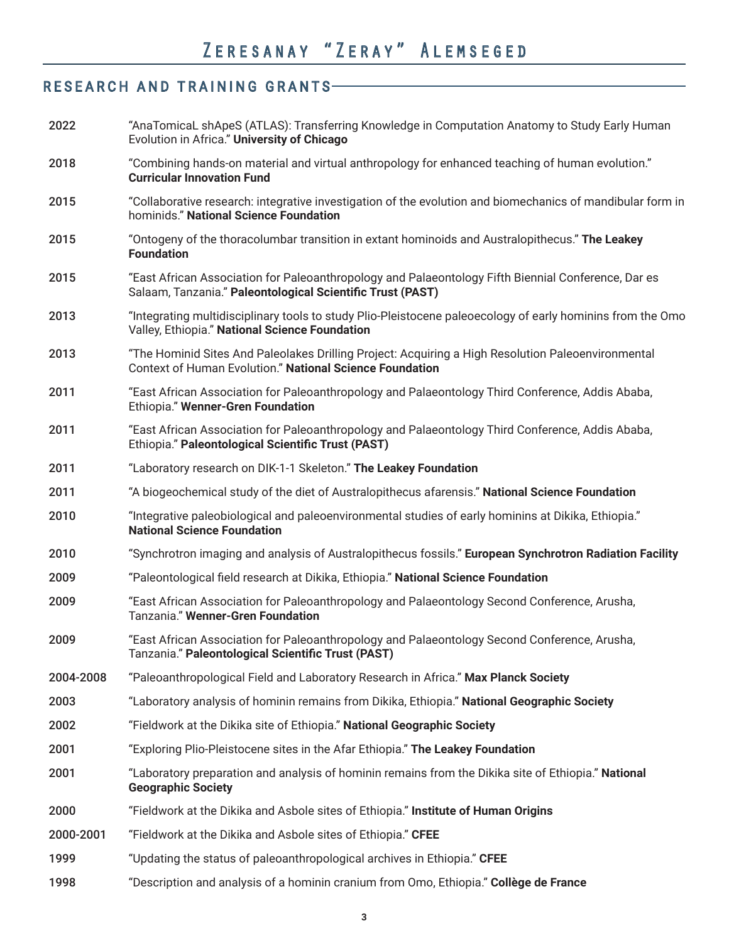## RESEARCH AND TRAINING GRANTS

| 2022      | "AnaTomicaL shApeS (ATLAS): Transferring Knowledge in Computation Anatomy to Study Early Human<br>Evolution in Africa." University of Chicago                     |
|-----------|-------------------------------------------------------------------------------------------------------------------------------------------------------------------|
| 2018      | "Combining hands-on material and virtual anthropology for enhanced teaching of human evolution."<br><b>Curricular Innovation Fund</b>                             |
| 2015      | "Collaborative research: integrative investigation of the evolution and biomechanics of mandibular form in<br>hominids." National Science Foundation              |
| 2015      | "Ontogeny of the thoracolumbar transition in extant hominoids and Australopithecus." The Leakey<br><b>Foundation</b>                                              |
| 2015      | "East African Association for Paleoanthropology and Palaeontology Fifth Biennial Conference, Dar es<br>Salaam, Tanzania." Paleontological Scientific Trust (PAST) |
| 2013      | "Integrating multidisciplinary tools to study Plio-Pleistocene paleoecology of early hominins from the Omo<br>Valley, Ethiopia." National Science Foundation      |
| 2013      | "The Hominid Sites And Paleolakes Drilling Project: Acquiring a High Resolution Paleoenvironmental<br>Context of Human Evolution." National Science Foundation    |
| 2011      | "East African Association for Paleoanthropology and Palaeontology Third Conference, Addis Ababa,<br>Ethiopia." Wenner-Gren Foundation                             |
| 2011      | "East African Association for Paleoanthropology and Palaeontology Third Conference, Addis Ababa,<br>Ethiopia." Paleontological Scientific Trust (PAST)            |
| 2011      | "Laboratory research on DIK-1-1 Skeleton." The Leakey Foundation                                                                                                  |
| 2011      | "A biogeochemical study of the diet of Australopithecus afarensis." National Science Foundation                                                                   |
| 2010      | "Integrative paleobiological and paleoenvironmental studies of early hominins at Dikika, Ethiopia."<br><b>National Science Foundation</b>                         |
| 2010      | "Synchrotron imaging and analysis of Australopithecus fossils." European Synchrotron Radiation Facility                                                           |
| 2009      | "Paleontological field research at Dikika, Ethiopia." National Science Foundation                                                                                 |
| 2009      | "East African Association for Paleoanthropology and Palaeontology Second Conference, Arusha,<br>Tanzania." Wenner-Gren Foundation                                 |
| 2009      | "East African Association for Paleoanthropology and Palaeontology Second Conference, Arusha,<br>Tanzania." Paleontological Scientific Trust (PAST)                |
| 2004-2008 | "Paleoanthropological Field and Laboratory Research in Africa." Max Planck Society                                                                                |
| 2003      | "Laboratory analysis of hominin remains from Dikika, Ethiopia." National Geographic Society                                                                       |
| 2002      | "Fieldwork at the Dikika site of Ethiopia." National Geographic Society                                                                                           |
| 2001      | "Exploring Plio-Pleistocene sites in the Afar Ethiopia." The Leakey Foundation                                                                                    |
| 2001      | "Laboratory preparation and analysis of hominin remains from the Dikika site of Ethiopia." National<br><b>Geographic Society</b>                                  |
| 2000      | "Fieldwork at the Dikika and Asbole sites of Ethiopia." Institute of Human Origins                                                                                |
| 2000-2001 | "Fieldwork at the Dikika and Asbole sites of Ethiopia." CFEE                                                                                                      |
| 1999      | "Updating the status of paleoanthropological archives in Ethiopia." CFEE                                                                                          |
| 1998      | "Description and analysis of a hominin cranium from Omo, Ethiopia." Collège de France                                                                             |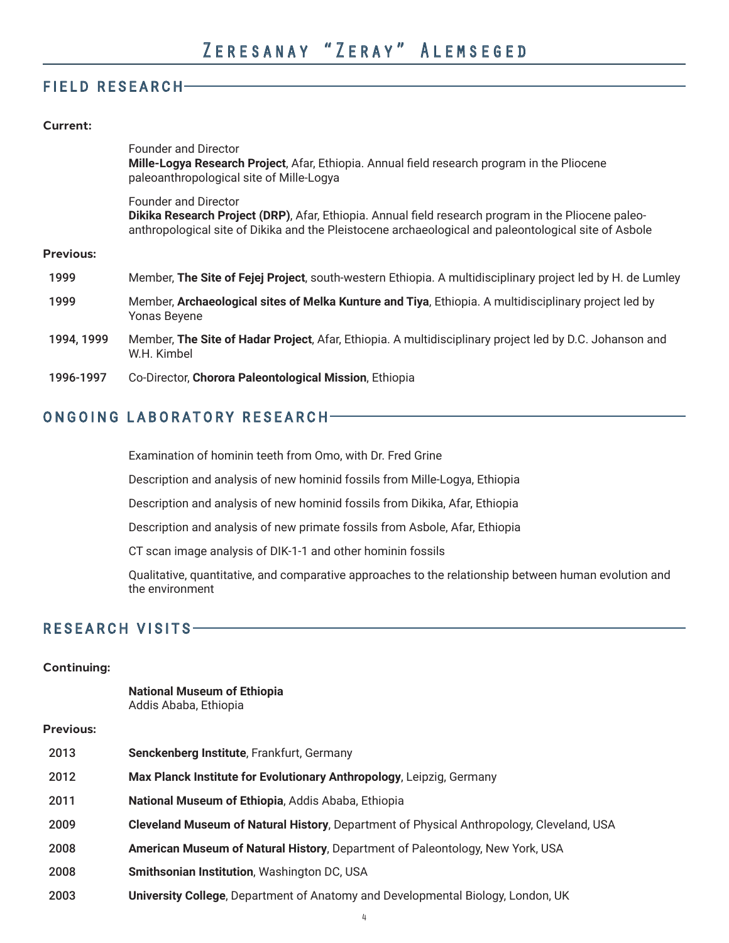#### FIELD RESEARCH

#### **Current:**

|                  | <b>Founder and Director</b><br>Mille-Logya Research Project, Afar, Ethiopia. Annual field research program in the Pliocene<br>paleoanthropological site of Mille-Logya                                                                     |
|------------------|--------------------------------------------------------------------------------------------------------------------------------------------------------------------------------------------------------------------------------------------|
|                  | <b>Founder and Director</b><br>Dikika Research Project (DRP), Afar, Ethiopia. Annual field research program in the Pliocene paleo-<br>anthropological site of Dikika and the Pleistocene archaeological and paleontological site of Asbole |
| <b>Previous:</b> |                                                                                                                                                                                                                                            |
| 1999             | Member, The Site of Fejej Project, south-western Ethiopia. A multidisciplinary project led by H. de Lumley                                                                                                                                 |
| 1999             | Member, Archaeological sites of Melka Kunture and Tiya, Ethiopia. A multidisciplinary project led by<br>Yonas Beyene                                                                                                                       |
| 1994, 1999       | Member, The Site of Hadar Project, Afar, Ethiopia. A multidisciplinary project led by D.C. Johanson and<br>W.H. Kimbel                                                                                                                     |
| 1996-1997        | Co-Director, Chorora Paleontological Mission, Ethiopia                                                                                                                                                                                     |

### ONGOING LABORATORY RESEARCH

Examination of hominin teeth from Omo, with Dr. Fred Grine

Description and analysis of new hominid fossils from Mille-Logya, Ethiopia

Description and analysis of new hominid fossils from Dikika, Afar, Ethiopia

Description and analysis of new primate fossils from Asbole, Afar, Ethiopia

CT scan image analysis of DIK-1-1 and other hominin fossils

 Qualitative, quantitative, and comparative approaches to the relationship between human evolution and the environment

#### RESEARCH VISITS

#### **Continuing:**

|                  | <b>National Museum of Ethiopia</b><br>Addis Ababa, Ethiopia                              |
|------------------|------------------------------------------------------------------------------------------|
| <b>Previous:</b> |                                                                                          |
| 2013             | Senckenberg Institute, Frankfurt, Germany                                                |
| 2012             | Max Planck Institute for Evolutionary Anthropology, Leipzig, Germany                     |
| 2011             | National Museum of Ethiopia, Addis Ababa, Ethiopia                                       |
| 2009             | Cleveland Museum of Natural History, Department of Physical Anthropology, Cleveland, USA |
| 2008             | American Museum of Natural History, Department of Paleontology, New York, USA            |
| 2008             | Smithsonian Institution, Washington DC, USA                                              |
| 2003             | <b>University College, Department of Anatomy and Developmental Biology, London, UK</b>   |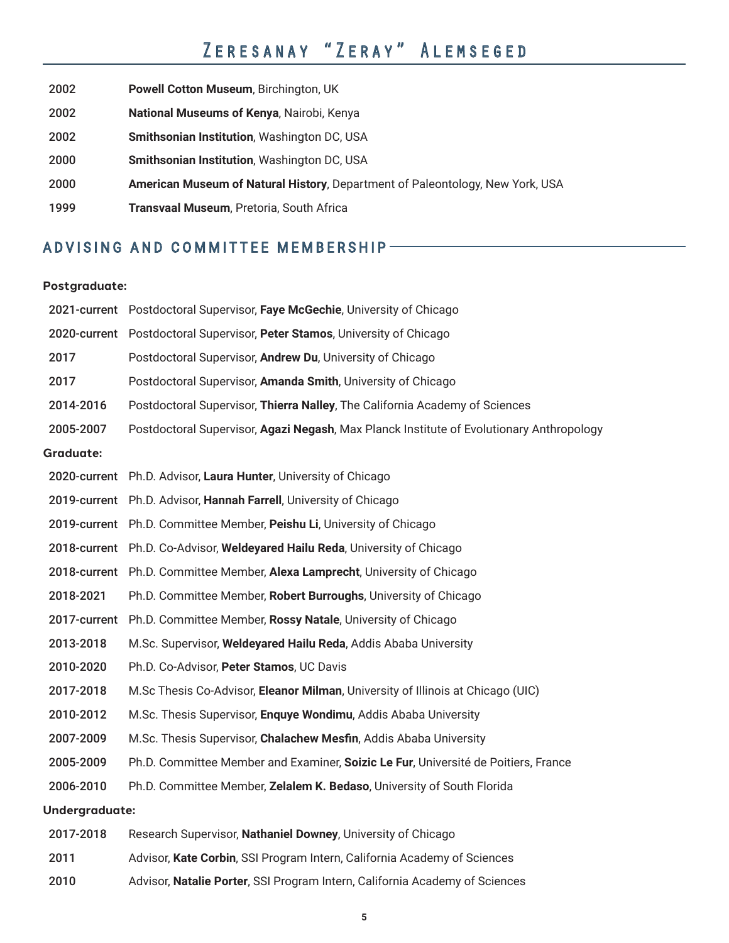| 2002 | Powell Cotton Museum, Birchington, UK                                         |
|------|-------------------------------------------------------------------------------|
| 2002 | National Museums of Kenya, Nairobi, Kenya                                     |
| 2002 | <b>Smithsonian Institution, Washington DC, USA</b>                            |
| 2000 | Smithsonian Institution, Washington DC, USA                                   |
| 2000 | American Museum of Natural History, Department of Paleontology, New York, USA |
| 1999 | Transvaal Museum, Pretoria, South Africa                                      |
|      |                                                                               |

## ADVISING AND COMMITTEE MEMBERSHIP

#### **Postgraduate:**

|                  | 2021-current Postdoctoral Supervisor, Faye McGechie, University of Chicago               |
|------------------|------------------------------------------------------------------------------------------|
|                  | 2020-current Postdoctoral Supervisor, Peter Stamos, University of Chicago                |
| 2017             | Postdoctoral Supervisor, Andrew Du, University of Chicago                                |
| 2017             | Postdoctoral Supervisor, Amanda Smith, University of Chicago                             |
| 2014-2016        | Postdoctoral Supervisor, Thierra Nalley, The California Academy of Sciences              |
| 2005-2007        | Postdoctoral Supervisor, Agazi Negash, Max Planck Institute of Evolutionary Anthropology |
| <b>Graduate:</b> |                                                                                          |
|                  | 2020-current Ph.D. Advisor, Laura Hunter, University of Chicago                          |
|                  | 2019-current Ph.D. Advisor, Hannah Farrell, University of Chicago                        |
|                  | 2019-current Ph.D. Committee Member, Peishu Li, University of Chicago                    |
|                  | 2018-current Ph.D. Co-Advisor, Weldeyared Hailu Reda, University of Chicago              |
|                  | 2018-current Ph.D. Committee Member, Alexa Lamprecht, University of Chicago              |
| 2018-2021        | Ph.D. Committee Member, Robert Burroughs, University of Chicago                          |
|                  | 2017-current Ph.D. Committee Member, Rossy Natale, University of Chicago                 |
| 2013-2018        | M.Sc. Supervisor, Weldeyared Hailu Reda, Addis Ababa University                          |
| 2010-2020        | Ph.D. Co-Advisor, Peter Stamos, UC Davis                                                 |
| 2017-2018        | M.Sc Thesis Co-Advisor, Eleanor Milman, University of Illinois at Chicago (UIC)          |
| 2010-2012        | M.Sc. Thesis Supervisor, Enquye Wondimu, Addis Ababa University                          |
| 2007-2009        | M.Sc. Thesis Supervisor, Chalachew Mesfin, Addis Ababa University                        |
| 2005-2009        | Ph.D. Committee Member and Examiner, Soizic Le Fur, Université de Poitiers, France       |
| 2006-2010        | Ph.D. Committee Member, Zelalem K. Bedaso, University of South Florida                   |
| Undergraduate:   |                                                                                          |
| 2017-2018        | Research Supervisor, Nathaniel Downey, University of Chicago                             |
| 2011             | Advisor, Kate Corbin, SSI Program Intern, California Academy of Sciences                 |

2010 Advisor, **Natalie Porter**, SSI Program Intern, California Academy of Sciences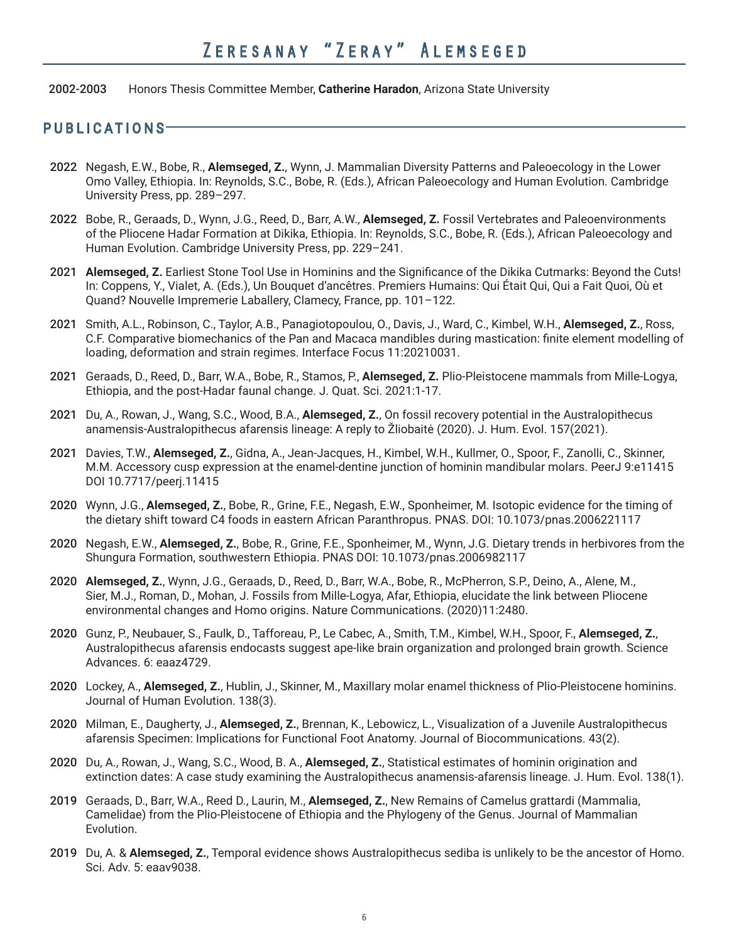2002-2003 Honors Thesis Committee Member, **Catherine Haradon**, Arizona State University

#### PUBLICATIONS

- 2022 Negash, E.W., Bobe, R., **Alemseged, Z.**, Wynn, J. Mammalian Diversity Patterns and Paleoecology in the Lower Omo Valley, Ethiopia. In: Reynolds, S.C., Bobe, R. (Eds.), African Paleoecology and Human Evolution. Cambridge University Press, pp. 289–297.
- 2022 Bobe, R., Geraads, D., Wynn, J.G., Reed, D., Barr, A.W., **Alemseged, Z.** Fossil Vertebrates and Paleoenvironments of the Pliocene Hadar Formation at Dikika, Ethiopia. In: Reynolds, S.C., Bobe, R. (Eds.), African Paleoecology and Human Evolution. Cambridge University Press, pp. 229–241.
- 2021 **Alemseged, Z.** Earliest Stone Tool Use in Hominins and the Significance of the Dikika Cutmarks: Beyond the Cuts! In: Coppens, Y., Vialet, A. (Eds.), Un Bouquet d'ancêtres. Premiers Humains: Qui Était Qui, Qui a Fait Quoi, Où et Quand? Nouvelle Impremerie Laballery, Clamecy, France, pp. 101–122.
- 2021 Smith, A.L., Robinson, C., Taylor, A.B., Panagiotopoulou, O., Davis, J., Ward, C., Kimbel, W.H., **Alemseged, Z.**, Ross, C.F. Comparative biomechanics of the Pan and Macaca mandibles during mastication: finite element modelling of loading, deformation and strain regimes. Interface Focus 11:20210031.
- 2021 Geraads, D., Reed, D., Barr, W.A., Bobe, R., Stamos, P., **Alemseged, Z.** Plio-Pleistocene mammals from Mille-Logya, Ethiopia, and the post-Hadar faunal change. J. Quat. Sci. 2021:1-17.
- 2021 Du, A., Rowan, J., Wang, S.C., Wood, B.A., **Alemseged, Z.**, On fossil recovery potential in the Australopithecus anamensis-Australopithecus afarensis lineage: A reply to Žliobaitė (2020). J. Hum. Evol. 157(2021).
- 2021 Davies, T.W., **Alemseged, Z.**, Gidna, A., Jean-Jacques, H., Kimbel, W.H., Kullmer, O., Spoor, F., Zanolli, C., Skinner, M.M. Accessory cusp expression at the enamel-dentine junction of hominin mandibular molars. PeerJ 9:e11415 DOI 10.7717/peerj.11415
- 2020 Wynn, J.G., **Alemseged, Z.**, Bobe, R., Grine, F.E., Negash, E.W., Sponheimer, M. Isotopic evidence for the timing of the dietary shift toward C4 foods in eastern African Paranthropus. PNAS. DOI: 10.1073/pnas.2006221117
- 2020 Negash, E.W., **Alemseged, Z.**, Bobe, R., Grine, F.E., Sponheimer, M., Wynn, J.G. Dietary trends in herbivores from the Shungura Formation, southwestern Ethiopia. PNAS DOI: 10.1073/pnas.2006982117
- 2020 **Alemseged, Z.**, Wynn, J.G., Geraads, D., Reed, D., Barr, W.A., Bobe, R., McPherron, S.P., Deino, A., Alene, M., Sier, M.J., Roman, D., Mohan, J. Fossils from Mille-Logya, Afar, Ethiopia, elucidate the link between Pliocene environmental changes and Homo origins. Nature Communications. (2020)11:2480.
- 2020 Gunz, P., Neubauer, S., Faulk, D., Tafforeau, P., Le Cabec, A., Smith, T.M., Kimbel, W.H., Spoor, F., **Alemseged, Z.**, Australopithecus afarensis endocasts suggest ape-like brain organization and prolonged brain growth. Science Advances. 6: eaaz4729.
- 2020 Lockey, A., **Alemseged, Z.**, Hublin, J., Skinner, M., Maxillary molar enamel thickness of Plio-Pleistocene hominins. Journal of Human Evolution. 138(3).
- 2020 Milman, E., Daugherty, J., **Alemseged, Z.**, Brennan, K., Lebowicz, L., Visualization of a Juvenile Australopithecus afarensis Specimen: Implications for Functional Foot Anatomy. Journal of Biocommunications. 43(2).
- 2020 Du, A., Rowan, J., Wang, S.C., Wood, B. A., **Alemseged, Z.**, Statistical estimates of hominin origination and extinction dates: A case study examining the Australopithecus anamensis-afarensis lineage. J. Hum. Evol. 138(1).
- 2019 Geraads, D., Barr, W.A., Reed D., Laurin, M., **Alemseged, Z.**, New Remains of Camelus grattardi (Mammalia, Camelidae) from the Plio-Pleistocene of Ethiopia and the Phylogeny of the Genus. Journal of Mammalian Evolution.
- 2019 Du, A. & **Alemseged, Z.**, Temporal evidence shows Australopithecus sediba is unlikely to be the ancestor of Homo. Sci. Adv. 5: eaav9038.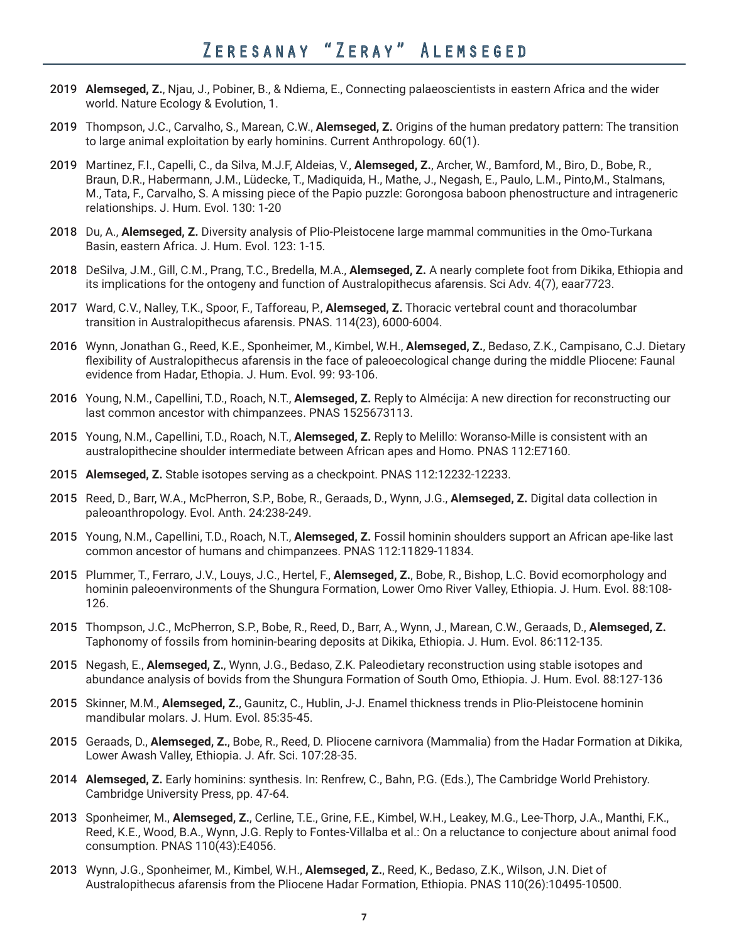- 2019 **Alemseged, Z.**, Njau, J., Pobiner, B., & Ndiema, E., Connecting palaeoscientists in eastern Africa and the wider world. Nature Ecology & Evolution, 1.
- 2019 Thompson, J.C., Carvalho, S., Marean, C.W., **Alemseged, Z.** Origins of the human predatory pattern: The transition to large animal exploitation by early hominins. Current Anthropology. 60(1).
- 2019 Martinez, F.I., Capelli, C., da Silva, M.J.F, Aldeias, V., **Alemseged, Z.**, Archer, W., Bamford, M., Biro, D., Bobe, R., Braun, D.R., Habermann, J.M., Lüdecke, T., Madiquida, H., Mathe, J., Negash, E., Paulo, L.M., Pinto,M., Stalmans, M., Tata, F., Carvalho, S. A missing piece of the Papio puzzle: Gorongosa baboon phenostructure and intrageneric relationships. J. Hum. Evol. 130: 1-20
- 2018 Du, A., **Alemseged, Z.** Diversity analysis of Plio-Pleistocene large mammal communities in the Omo-Turkana Basin, eastern Africa. J. Hum. Evol. 123: 1-15.
- 2018 DeSilva, J.M., Gill, C.M., Prang, T.C., Bredella, M.A., **Alemseged, Z.** A nearly complete foot from Dikika, Ethiopia and its implications for the ontogeny and function of Australopithecus afarensis. Sci Adv. 4(7), eaar7723.
- 2017 Ward, C.V., Nalley, T.K., Spoor, F., Tafforeau, P., **Alemseged, Z.** Thoracic vertebral count and thoracolumbar transition in Australopithecus afarensis. PNAS. 114(23), 6000-6004.
- 2016 Wynn, Jonathan G., Reed, K.E., Sponheimer, M., Kimbel, W.H., **Alemseged, Z.**, Bedaso, Z.K., Campisano, C.J. Dietary flexibility of Australopithecus afarensis in the face of paleoecological change during the middle Pliocene: Faunal evidence from Hadar, Ethopia. J. Hum. Evol. 99: 93-106.
- 2016 Young, N.M., Capellini, T.D., Roach, N.T., **Alemseged, Z.** Reply to Almécija: A new direction for reconstructing our last common ancestor with chimpanzees. PNAS 1525673113.
- 2015 Young, N.M., Capellini, T.D., Roach, N.T., **Alemseged, Z.** Reply to Melillo: Woranso-Mille is consistent with an australopithecine shoulder intermediate between African apes and Homo. PNAS 112:E7160.
- 2015 **Alemseged, Z.** Stable isotopes serving as a checkpoint. PNAS 112:12232-12233.
- 2015 Reed, D., Barr, W.A., McPherron, S.P., Bobe, R., Geraads, D., Wynn, J.G., **Alemseged, Z.** Digital data collection in paleoanthropology. Evol. Anth. 24:238-249.
- 2015 Young, N.M., Capellini, T.D., Roach, N.T., **Alemseged, Z.** Fossil hominin shoulders support an African ape-like last common ancestor of humans and chimpanzees. PNAS 112:11829-11834.
- 2015 Plummer, T., Ferraro, J.V., Louys, J.C., Hertel, F., **Alemseged, Z.**, Bobe, R., Bishop, L.C. Bovid ecomorphology and hominin paleoenvironments of the Shungura Formation, Lower Omo River Valley, Ethiopia. J. Hum. Evol. 88:108- 126.
- 2015 Thompson, J.C., McPherron, S.P., Bobe, R., Reed, D., Barr, A., Wynn, J., Marean, C.W., Geraads, D., **Alemseged, Z.** Taphonomy of fossils from hominin-bearing deposits at Dikika, Ethiopia. J. Hum. Evol. 86:112-135.
- 2015 Negash, E., **Alemseged, Z.**, Wynn, J.G., Bedaso, Z.K. Paleodietary reconstruction using stable isotopes and abundance analysis of bovids from the Shungura Formation of South Omo, Ethiopia. J. Hum. Evol. 88:127-136
- 2015 Skinner, M.M., **Alemseged, Z.**, Gaunitz, C., Hublin, J-J. Enamel thickness trends in Plio-Pleistocene hominin mandibular molars. J. Hum. Evol. 85:35-45.
- 2015 Geraads, D., **Alemseged, Z.**, Bobe, R., Reed, D. Pliocene carnivora (Mammalia) from the Hadar Formation at Dikika, Lower Awash Valley, Ethiopia. J. Afr. Sci. 107:28-35.
- 2014 **Alemseged, Z.** Early hominins: synthesis. In: Renfrew, C., Bahn, P.G. (Eds.), The Cambridge World Prehistory. Cambridge University Press, pp. 47-64.
- 2013 Sponheimer, M., **Alemseged, Z.**, Cerline, T.E., Grine, F.E., Kimbel, W.H., Leakey, M.G., Lee-Thorp, J.A., Manthi, F.K., Reed, K.E., Wood, B.A., Wynn, J.G. Reply to Fontes-Villalba et al.: On a reluctance to conjecture about animal food consumption. PNAS 110(43):E4056.
- 2013 Wynn, J.G., Sponheimer, M., Kimbel, W.H., **Alemseged, Z.**, Reed, K., Bedaso, Z.K., Wilson, J.N. Diet of Australopithecus afarensis from the Pliocene Hadar Formation, Ethiopia. PNAS 110(26):10495-10500.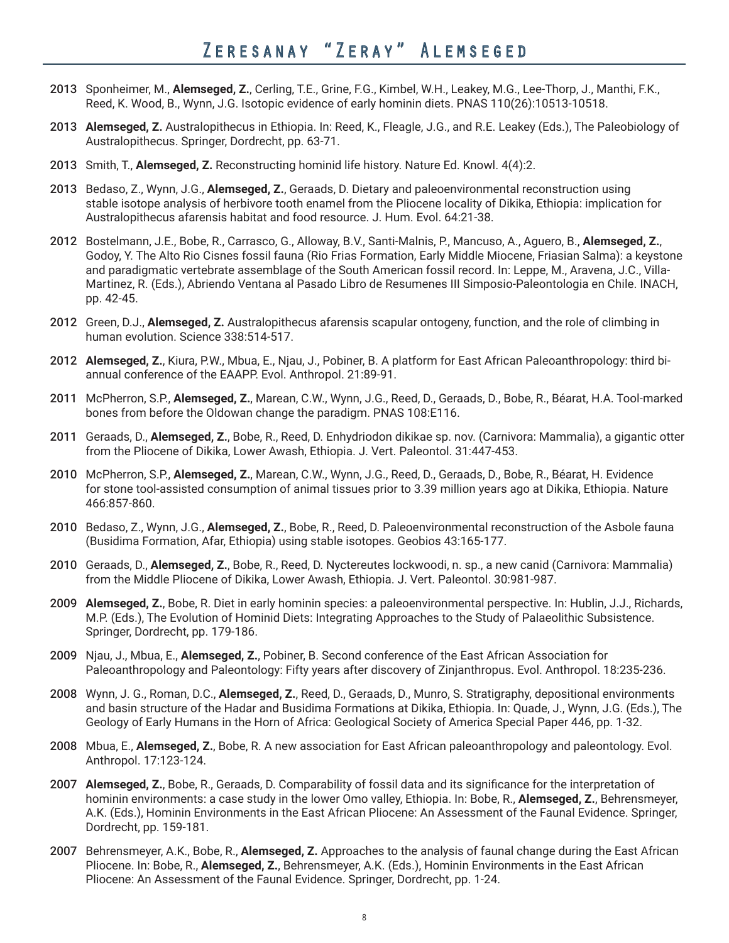- 2013 Sponheimer, M., **Alemseged, Z.**, Cerling, T.E., Grine, F.G., Kimbel, W.H., Leakey, M.G., Lee-Thorp, J., Manthi, F.K., Reed, K. Wood, B., Wynn, J.G. Isotopic evidence of early hominin diets. PNAS 110(26):10513-10518.
- 2013 **Alemseged, Z.** Australopithecus in Ethiopia. In: Reed, K., Fleagle, J.G., and R.E. Leakey (Eds.), The Paleobiology of Australopithecus. Springer, Dordrecht, pp. 63-71.
- 2013 Smith, T., **Alemseged, Z.** Reconstructing hominid life history. Nature Ed. Knowl. 4(4):2.
- 2013 Bedaso, Z., Wynn, J.G., **Alemseged, Z.**, Geraads, D. Dietary and paleoenvironmental reconstruction using stable isotope analysis of herbivore tooth enamel from the Pliocene locality of Dikika, Ethiopia: implication for Australopithecus afarensis habitat and food resource. J. Hum. Evol. 64:21-38.
- 2012 Bostelmann, J.E., Bobe, R., Carrasco, G., Alloway, B.V., Santi-Malnis, P., Mancuso, A., Aguero, B., **Alemseged, Z.**, Godoy, Y. The Alto Rio Cisnes fossil fauna (Rio Frias Formation, Early Middle Miocene, Friasian Salma): a keystone and paradigmatic vertebrate assemblage of the South American fossil record. In: Leppe, M., Aravena, J.C., Villa-Martinez, R. (Eds.), Abriendo Ventana al Pasado Libro de Resumenes III Simposio-Paleontologia en Chile. INACH, pp. 42-45.
- 2012 Green, D.J., **Alemseged, Z.** Australopithecus afarensis scapular ontogeny, function, and the role of climbing in human evolution. Science 338:514-517.
- 2012 **Alemseged, Z.**, Kiura, P.W., Mbua, E., Njau, J., Pobiner, B. A platform for East African Paleoanthropology: third biannual conference of the EAAPP. Evol. Anthropol. 21:89-91.
- 2011 McPherron, S.P., **Alemseged, Z.**, Marean, C.W., Wynn, J.G., Reed, D., Geraads, D., Bobe, R., Béarat, H.A. Tool-marked bones from before the Oldowan change the paradigm. PNAS 108:E116.
- 2011 Geraads, D., **Alemseged, Z.**, Bobe, R., Reed, D. Enhydriodon dikikae sp. nov. (Carnivora: Mammalia), a gigantic otter from the Pliocene of Dikika, Lower Awash, Ethiopia. J. Vert. Paleontol. 31:447-453.
- 2010 McPherron, S.P., **Alemseged, Z.**, Marean, C.W., Wynn, J.G., Reed, D., Geraads, D., Bobe, R., Béarat, H. Evidence for stone tool-assisted consumption of animal tissues prior to 3.39 million years ago at Dikika, Ethiopia. Nature 466:857-860.
- 2010 Bedaso, Z., Wynn, J.G., **Alemseged, Z.**, Bobe, R., Reed, D. Paleoenvironmental reconstruction of the Asbole fauna (Busidima Formation, Afar, Ethiopia) using stable isotopes. Geobios 43:165-177.
- 2010 Geraads, D., **Alemseged, Z.**, Bobe, R., Reed, D. Nyctereutes lockwoodi, n. sp., a new canid (Carnivora: Mammalia) from the Middle Pliocene of Dikika, Lower Awash, Ethiopia. J. Vert. Paleontol. 30:981-987.
- 2009 **Alemseged, Z.**, Bobe, R. Diet in early hominin species: a paleoenvironmental perspective. In: Hublin, J.J., Richards, M.P. (Eds.), The Evolution of Hominid Diets: Integrating Approaches to the Study of Palaeolithic Subsistence. Springer, Dordrecht, pp. 179-186.
- 2009 Njau, J., Mbua, E., **Alemseged, Z.**, Pobiner, B. Second conference of the East African Association for Paleoanthropology and Paleontology: Fifty years after discovery of Zinjanthropus. Evol. Anthropol. 18:235-236.
- 2008 Wynn, J. G., Roman, D.C., **Alemseged, Z.**, Reed, D., Geraads, D., Munro, S. Stratigraphy, depositional environments and basin structure of the Hadar and Busidima Formations at Dikika, Ethiopia. In: Quade, J., Wynn, J.G. (Eds.), The Geology of Early Humans in the Horn of Africa: Geological Society of America Special Paper 446, pp. 1-32.
- 2008 Mbua, E., **Alemseged, Z.**, Bobe, R. A new association for East African paleoanthropology and paleontology. Evol. Anthropol. 17:123-124.
- 2007 **Alemseged, Z.**, Bobe, R., Geraads, D. Comparability of fossil data and its significance for the interpretation of hominin environments: a case study in the lower Omo valley, Ethiopia. In: Bobe, R., **Alemseged, Z.**, Behrensmeyer, A.K. (Eds.), Hominin Environments in the East African Pliocene: An Assessment of the Faunal Evidence. Springer, Dordrecht, pp. 159-181.
- 2007 Behrensmeyer, A.K., Bobe, R., **Alemseged, Z.** Approaches to the analysis of faunal change during the East African Pliocene. In: Bobe, R., **Alemseged, Z.**, Behrensmeyer, A.K. (Eds.), Hominin Environments in the East African Pliocene: An Assessment of the Faunal Evidence. Springer, Dordrecht, pp. 1-24.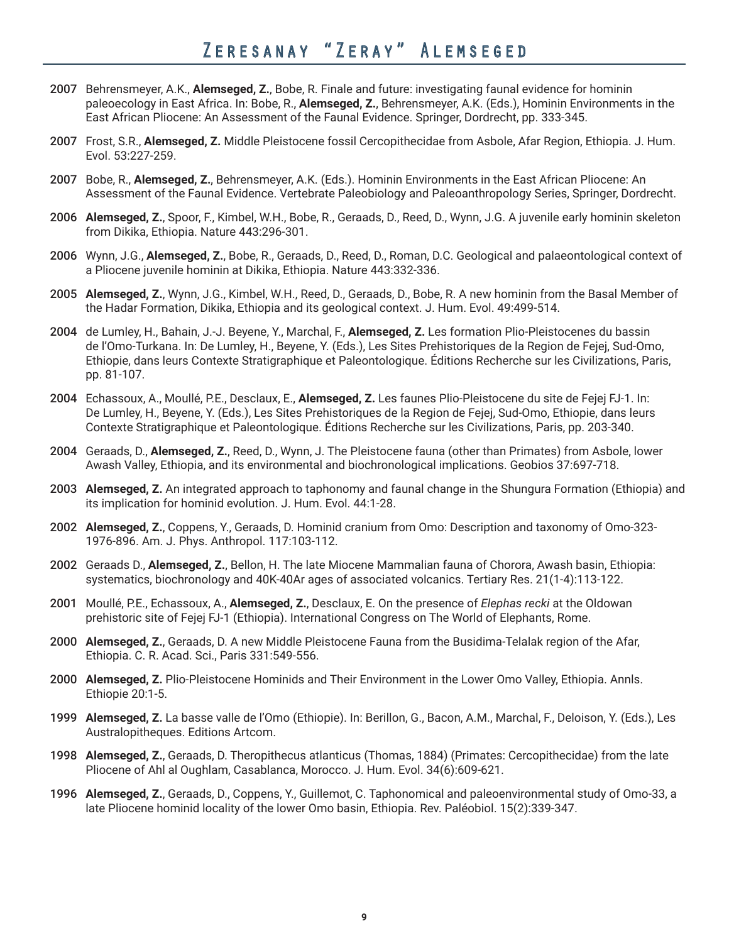- 2007 Behrensmeyer, A.K., **Alemseged, Z.**, Bobe, R. Finale and future: investigating faunal evidence for hominin paleoecology in East Africa. In: Bobe, R., **Alemseged, Z.**, Behrensmeyer, A.K. (Eds.), Hominin Environments in the East African Pliocene: An Assessment of the Faunal Evidence. Springer, Dordrecht, pp. 333-345.
- 2007 Frost, S.R., **Alemseged, Z.** Middle Pleistocene fossil Cercopithecidae from Asbole, Afar Region, Ethiopia. J. Hum. Evol. 53:227-259.
- 2007 Bobe, R., **Alemseged, Z.**, Behrensmeyer, A.K. (Eds.). Hominin Environments in the East African Pliocene: An Assessment of the Faunal Evidence. Vertebrate Paleobiology and Paleoanthropology Series, Springer, Dordrecht.
- 2006 **Alemseged, Z.**, Spoor, F., Kimbel, W.H., Bobe, R., Geraads, D., Reed, D., Wynn, J.G. A juvenile early hominin skeleton from Dikika, Ethiopia. Nature 443:296-301.
- 2006 Wynn, J.G., **Alemseged, Z.**, Bobe, R., Geraads, D., Reed, D., Roman, D.C. Geological and palaeontological context of a Pliocene juvenile hominin at Dikika, Ethiopia. Nature 443:332-336.
- 2005 **Alemseged, Z.**, Wynn, J.G., Kimbel, W.H., Reed, D., Geraads, D., Bobe, R. A new hominin from the Basal Member of the Hadar Formation, Dikika, Ethiopia and its geological context. J. Hum. Evol. 49:499-514.
- 2004 de Lumley, H., Bahain, J.-J. Beyene, Y., Marchal, F., **Alemseged, Z.** Les formation Plio-Pleistocenes du bassin de l'Omo-Turkana. In: De Lumley, H., Beyene, Y. (Eds.), Les Sites Prehistoriques de la Region de Fejej, Sud-Omo, Ethiopie, dans leurs Contexte Stratigraphique et Paleontologique. Éditions Recherche sur les Civilizations, Paris, pp. 81-107.
- 2004 Echassoux, A., Moullé, P.E., Desclaux, E., **Alemseged, Z.** Les faunes Plio-Pleistocene du site de Fejej FJ-1. In: De Lumley, H., Beyene, Y. (Eds.), Les Sites Prehistoriques de la Region de Fejej, Sud-Omo, Ethiopie, dans leurs Contexte Stratigraphique et Paleontologique. Éditions Recherche sur les Civilizations, Paris, pp. 203-340.
- 2004 Geraads, D., **Alemseged, Z.**, Reed, D., Wynn, J. The Pleistocene fauna (other than Primates) from Asbole, lower Awash Valley, Ethiopia, and its environmental and biochronological implications. Geobios 37:697-718.
- 2003 **Alemseged, Z.** An integrated approach to taphonomy and faunal change in the Shungura Formation (Ethiopia) and its implication for hominid evolution. J. Hum. Evol. 44:1-28.
- 2002 **Alemseged, Z.**, Coppens, Y., Geraads, D. Hominid cranium from Omo: Description and taxonomy of Omo-323- 1976-896. Am. J. Phys. Anthropol. 117:103-112.
- 2002 Geraads D., **Alemseged, Z.**, Bellon, H. The late Miocene Mammalian fauna of Chorora, Awash basin, Ethiopia: systematics, biochronology and 40K-40Ar ages of associated volcanics. Tertiary Res. 21(1-4):113-122.
- 2001 Moullé, P.E., Echassoux, A., **Alemseged, Z.**, Desclaux, E. On the presence of *Elephas recki* at the Oldowan prehistoric site of Fejej FJ-1 (Ethiopia). International Congress on The World of Elephants, Rome.
- 2000 **Alemseged, Z.**, Geraads, D. A new Middle Pleistocene Fauna from the Busidima-Telalak region of the Afar, Ethiopia. C. R. Acad. Sci., Paris 331:549-556.
- 2000 **Alemseged, Z.** Plio-Pleistocene Hominids and Their Environment in the Lower Omo Valley, Ethiopia. Annls. Ethiopie 20:1-5.
- 1999 **Alemseged, Z.** La basse valle de l'Omo (Ethiopie). In: Berillon, G., Bacon, A.M., Marchal, F., Deloison, Y. (Eds.), Les Australopitheques. Editions Artcom.
- 1998 **Alemseged, Z.**, Geraads, D. Theropithecus atlanticus (Thomas, 1884) (Primates: Cercopithecidae) from the late Pliocene of Ahl al Oughlam, Casablanca, Morocco. J. Hum. Evol. 34(6):609-621.
- 1996 **Alemseged, Z.**, Geraads, D., Coppens, Y., Guillemot, C. Taphonomical and paleoenvironmental study of Omo-33, a late Pliocene hominid locality of the lower Omo basin, Ethiopia. Rev. Paléobiol. 15(2):339-347.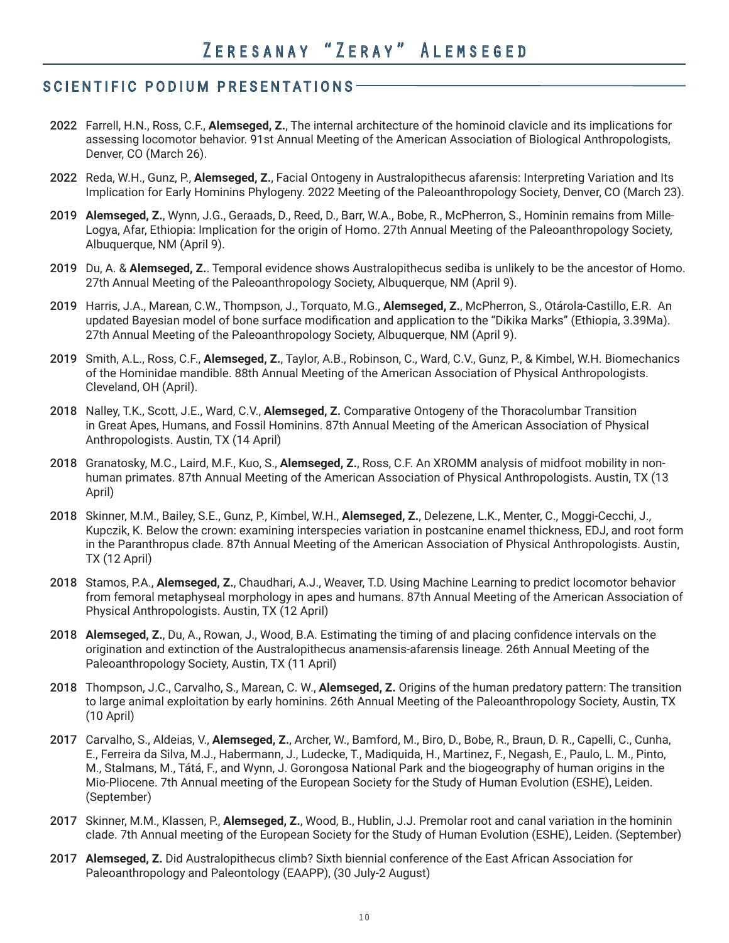### SCIENTIFIC PODIUM PRESENTATIONS

- 2022 Farrell, H.N., Ross, C.F., **Alemseged, Z.**, The internal architecture of the hominoid clavicle and its implications for assessing locomotor behavior. 91st Annual Meeting of the American Association of Biological Anthropologists, Denver, CO (March 26).
- 2022 Reda, W.H., Gunz, P., **Alemseged, Z.**, Facial Ontogeny in Australopithecus afarensis: Interpreting Variation and Its Implication for Early Hominins Phylogeny. 2022 Meeting of the Paleoanthropology Society, Denver, CO (March 23).
- 2019 **Alemseged, Z.**, Wynn, J.G., Geraads, D., Reed, D., Barr, W.A., Bobe, R., McPherron, S., Hominin remains from Mille-Logya, Afar, Ethiopia: Implication for the origin of Homo. 27th Annual Meeting of the Paleoanthropology Society, Albuquerque, NM (April 9).
- 2019 Du, A. & **Alemseged, Z.**. Temporal evidence shows Australopithecus sediba is unlikely to be the ancestor of Homo. 27th Annual Meeting of the Paleoanthropology Society, Albuquerque, NM (April 9).
- 2019 Harris, J.A., Marean, C.W., Thompson, J., Torquato, M.G., **Alemseged, Z.**, McPherron, S., Otárola-Castillo, E.R. An updated Bayesian model of bone surface modification and application to the "Dikika Marks" (Ethiopia, 3.39Ma). 27th Annual Meeting of the Paleoanthropology Society, Albuquerque, NM (April 9).
- 2019 Smith, A.L., Ross, C.F., **Alemseged, Z.**, Taylor, A.B., Robinson, C., Ward, C.V., Gunz, P., & Kimbel, W.H. Biomechanics of the Hominidae mandible. 88th Annual Meeting of the American Association of Physical Anthropologists. Cleveland, OH (April).
- 2018 Nalley, T.K., Scott, J.E., Ward, C.V., **Alemseged, Z.** Comparative Ontogeny of the Thoracolumbar Transition in Great Apes, Humans, and Fossil Hominins. 87th Annual Meeting of the American Association of Physical Anthropologists. Austin, TX (14 April)
- 2018 Granatosky, M.C., Laird, M.F., Kuo, S., **Alemseged, Z.**, Ross, C.F. An XROMM analysis of midfoot mobility in nonhuman primates. 87th Annual Meeting of the American Association of Physical Anthropologists. Austin, TX (13 April)
- 2018 Skinner, M.M., Bailey, S.E., Gunz, P., Kimbel, W.H., **Alemseged, Z.**, Delezene, L.K., Menter, C., Moggi-Cecchi, J., Kupczik, K. Below the crown: examining interspecies variation in postcanine enamel thickness, EDJ, and root form in the Paranthropus clade. 87th Annual Meeting of the American Association of Physical Anthropologists. Austin, TX (12 April)
- 2018 Stamos, P.A., **Alemseged, Z.**, Chaudhari, A.J., Weaver, T.D. Using Machine Learning to predict locomotor behavior from femoral metaphyseal morphology in apes and humans. 87th Annual Meeting of the American Association of Physical Anthropologists. Austin, TX (12 April)
- 2018 **Alemseged, Z.**, Du, A., Rowan, J., Wood, B.A. Estimating the timing of and placing confidence intervals on the origination and extinction of the Australopithecus anamensis-afarensis lineage. 26th Annual Meeting of the Paleoanthropology Society, Austin, TX (11 April)
- 2018 Thompson, J.C., Carvalho, S., Marean, C. W., **Alemseged, Z.** Origins of the human predatory pattern: The transition to large animal exploitation by early hominins. 26th Annual Meeting of the Paleoanthropology Society, Austin, TX (10 April)
- 2017 Carvalho, S., Aldeias, V., **Alemseged, Z.**, Archer, W., Bamford, M., Biro, D., Bobe, R., Braun, D. R., Capelli, C., Cunha, E., Ferreira da Silva, M.J., Habermann, J., Ludecke, T., Madiquida, H., Martinez, F., Negash, E., Paulo, L. M., Pinto, M., Stalmans, M., Tátá, F., and Wynn, J. Gorongosa National Park and the biogeography of human origins in the Mio-Pliocene. 7th Annual meeting of the European Society for the Study of Human Evolution (ESHE), Leiden. (September)
- 2017 Skinner, M.M., Klassen, P., **Alemseged, Z.**, Wood, B., Hublin, J.J. Premolar root and canal variation in the hominin clade. 7th Annual meeting of the European Society for the Study of Human Evolution (ESHE), Leiden. (September)
- 2017 **Alemseged, Z.** Did Australopithecus climb? Sixth biennial conference of the East African Association for Paleoanthropology and Paleontology (EAAPP), (30 July-2 August)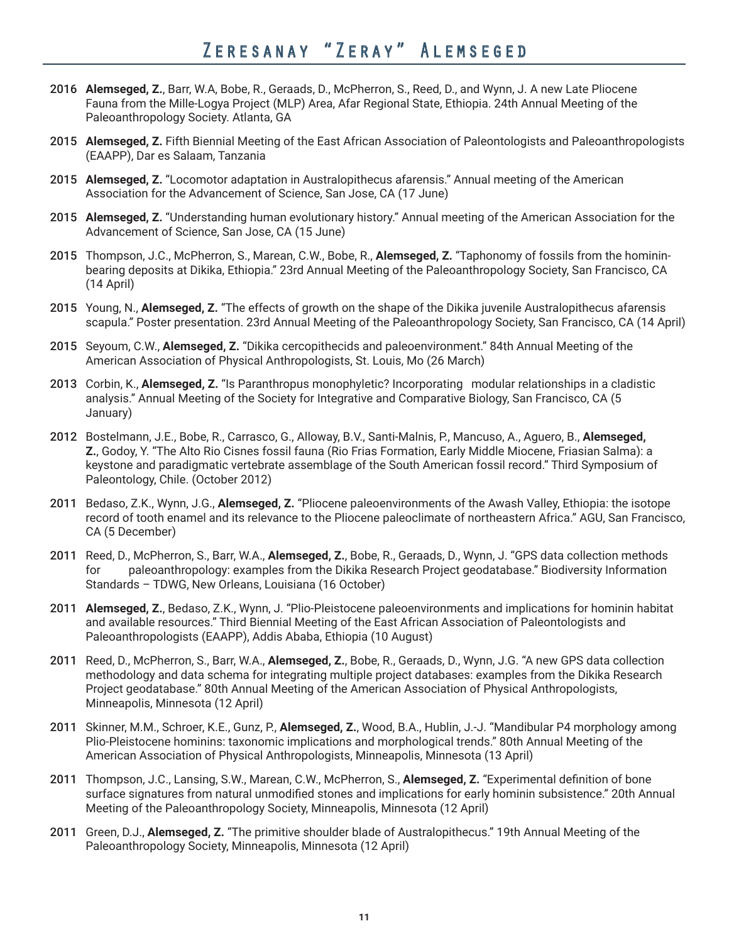- 2016 **Alemseged, Z.**, Barr, W.A, Bobe, R., Geraads, D., McPherron, S., Reed, D., and Wynn, J. A new Late Pliocene Fauna from the Mille-Logya Project (MLP) Area, Afar Regional State, Ethiopia. 24th Annual Meeting of the Paleoanthropology Society. Atlanta, GA
- 2015 **Alemseged, Z.** Fifth Biennial Meeting of the East African Association of Paleontologists and Paleoanthropologists (EAAPP), Dar es Salaam, Tanzania
- 2015 **Alemseged, Z.** "Locomotor adaptation in Australopithecus afarensis." Annual meeting of the American Association for the Advancement of Science, San Jose, CA (17 June)
- 2015 **Alemseged, Z.** "Understanding human evolutionary history." Annual meeting of the American Association for the Advancement of Science, San Jose, CA (15 June)
- 2015 Thompson, J.C., McPherron, S., Marean, C.W., Bobe, R., **Alemseged, Z.** "Taphonomy of fossils from the homininbearing deposits at Dikika, Ethiopia." 23rd Annual Meeting of the Paleoanthropology Society, San Francisco, CA (14 April)
- 2015 Young, N., **Alemseged, Z.** "The effects of growth on the shape of the Dikika juvenile Australopithecus afarensis scapula." Poster presentation. 23rd Annual Meeting of the Paleoanthropology Society, San Francisco, CA (14 April)
- 2015 Seyoum, C.W., **Alemseged, Z.** "Dikika cercopithecids and paleoenvironment." 84th Annual Meeting of the American Association of Physical Anthropologists, St. Louis, Mo (26 March)
- 2013 Corbin, K., **Alemseged, Z.** "Is Paranthropus monophyletic? Incorporating modular relationships in a cladistic analysis." Annual Meeting of the Society for Integrative and Comparative Biology, San Francisco, CA (5 January)
- 2012 Bostelmann, J.E., Bobe, R., Carrasco, G., Alloway, B.V., Santi-Malnis, P., Mancuso, A., Aguero, B., **Alemseged, Z.**, Godoy, Y. "The Alto Rio Cisnes fossil fauna (Rio Frias Formation, Early Middle Miocene, Friasian Salma): a keystone and paradigmatic vertebrate assemblage of the South American fossil record." Third Symposium of Paleontology, Chile. (October 2012)
- 2011 Bedaso, Z.K., Wynn, J.G., **Alemseged, Z.** "Pliocene paleoenvironments of the Awash Valley, Ethiopia: the isotope record of tooth enamel and its relevance to the Pliocene paleoclimate of northeastern Africa." AGU, San Francisco, CA (5 December)
- 2011 Reed, D., McPherron, S., Barr, W.A., **Alemseged, Z.**, Bobe, R., Geraads, D., Wynn, J. "GPS data collection methods for paleoanthropology: examples from the Dikika Research Project geodatabase." Biodiversity Information Standards – TDWG, New Orleans, Louisiana (16 October)
- 2011 **Alemseged, Z.**, Bedaso, Z.K., Wynn, J. "Plio-Pleistocene paleoenvironments and implications for hominin habitat and available resources." Third Biennial Meeting of the East African Association of Paleontologists and Paleoanthropologists (EAAPP), Addis Ababa, Ethiopia (10 August)
- 2011 Reed, D., McPherron, S., Barr, W.A., **Alemseged, Z.**, Bobe, R., Geraads, D., Wynn, J.G. "A new GPS data collection methodology and data schema for integrating multiple project databases: examples from the Dikika Research Project geodatabase." 80th Annual Meeting of the American Association of Physical Anthropologists, Minneapolis, Minnesota (12 April)
- 2011 Skinner, M.M., Schroer, K.E., Gunz, P., **Alemseged, Z.**, Wood, B.A., Hublin, J.-J. "Mandibular P4 morphology among Plio-Pleistocene hominins: taxonomic implications and morphological trends." 80th Annual Meeting of the American Association of Physical Anthropologists, Minneapolis, Minnesota (13 April)
- 2011 Thompson, J.C., Lansing, S.W., Marean, C.W., McPherron, S., **Alemseged, Z.** "Experimental definition of bone surface signatures from natural unmodified stones and implications for early hominin subsistence." 20th Annual Meeting of the Paleoanthropology Society, Minneapolis, Minnesota (12 April)
- 2011 Green, D.J., **Alemseged, Z.** "The primitive shoulder blade of Australopithecus." 19th Annual Meeting of the Paleoanthropology Society, Minneapolis, Minnesota (12 April)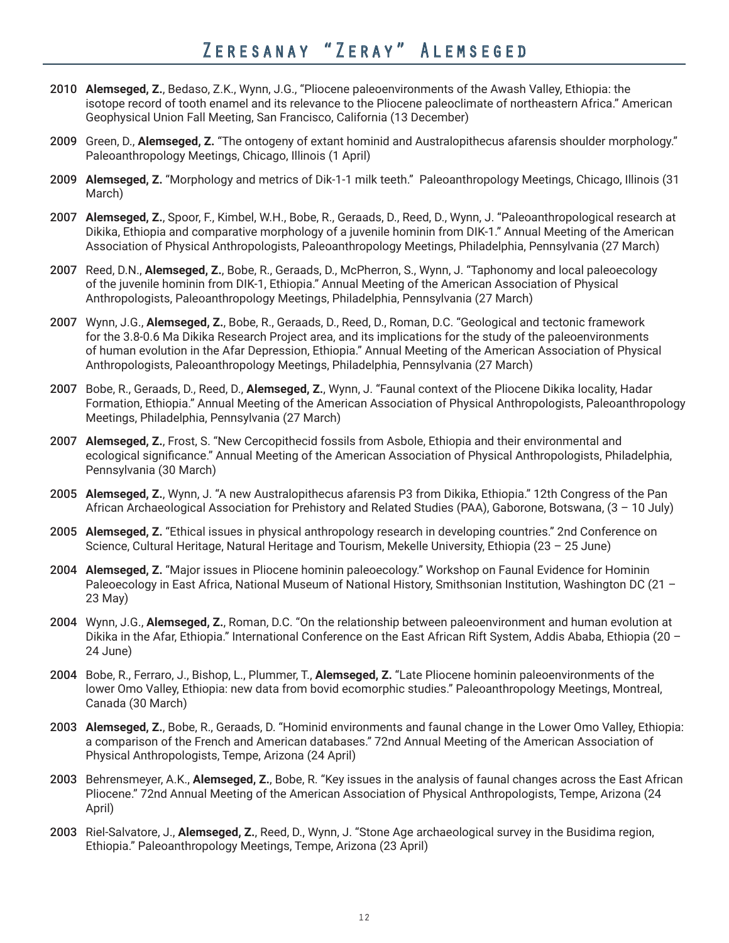- 2010 **Alemseged, Z.**, Bedaso, Z.K., Wynn, J.G., "Pliocene paleoenvironments of the Awash Valley, Ethiopia: the isotope record of tooth enamel and its relevance to the Pliocene paleoclimate of northeastern Africa." American Geophysical Union Fall Meeting, San Francisco, California (13 December)
- 2009 Green, D., **Alemseged, Z.** "The ontogeny of extant hominid and Australopithecus afarensis shoulder morphology." Paleoanthropology Meetings, Chicago, Illinois (1 April)
- 2009 **Alemseged, Z.** "Morphology and metrics of Dik-1-1 milk teeth." Paleoanthropology Meetings, Chicago, Illinois (31 March)
- 2007 **Alemseged, Z.**, Spoor, F., Kimbel, W.H., Bobe, R., Geraads, D., Reed, D., Wynn, J. "Paleoanthropological research at Dikika, Ethiopia and comparative morphology of a juvenile hominin from DIK-1." Annual Meeting of the American Association of Physical Anthropologists, Paleoanthropology Meetings, Philadelphia, Pennsylvania (27 March)
- 2007 Reed, D.N., **Alemseged, Z.**, Bobe, R., Geraads, D., McPherron, S., Wynn, J. "Taphonomy and local paleoecology of the juvenile hominin from DIK-1, Ethiopia." Annual Meeting of the American Association of Physical Anthropologists, Paleoanthropology Meetings, Philadelphia, Pennsylvania (27 March)
- 2007 Wynn, J.G., **Alemseged, Z.**, Bobe, R., Geraads, D., Reed, D., Roman, D.C. "Geological and tectonic framework for the 3.8-0.6 Ma Dikika Research Project area, and its implications for the study of the paleoenvironments of human evolution in the Afar Depression, Ethiopia." Annual Meeting of the American Association of Physical Anthropologists, Paleoanthropology Meetings, Philadelphia, Pennsylvania (27 March)
- 2007 Bobe, R., Geraads, D., Reed, D., **Alemseged, Z.**, Wynn, J. "Faunal context of the Pliocene Dikika locality, Hadar Formation, Ethiopia." Annual Meeting of the American Association of Physical Anthropologists, Paleoanthropology Meetings, Philadelphia, Pennsylvania (27 March)
- 2007 **Alemseged, Z.**, Frost, S. "New Cercopithecid fossils from Asbole, Ethiopia and their environmental and ecological significance." Annual Meeting of the American Association of Physical Anthropologists, Philadelphia, Pennsylvania (30 March)
- 2005 **Alemseged, Z.**, Wynn, J. "A new Australopithecus afarensis P3 from Dikika, Ethiopia." 12th Congress of the Pan African Archaeological Association for Prehistory and Related Studies (PAA), Gaborone, Botswana, (3 – 10 July)
- 2005 **Alemseged, Z.** "Ethical issues in physical anthropology research in developing countries." 2nd Conference on Science, Cultural Heritage, Natural Heritage and Tourism, Mekelle University, Ethiopia (23 – 25 June)
- 2004 **Alemseged, Z.** "Major issues in Pliocene hominin paleoecology." Workshop on Faunal Evidence for Hominin Paleoecology in East Africa, National Museum of National History, Smithsonian Institution, Washington DC (21 -23 May)
- 2004 Wynn, J.G., **Alemseged, Z.**, Roman, D.C. "On the relationship between paleoenvironment and human evolution at Dikika in the Afar, Ethiopia." International Conference on the East African Rift System, Addis Ababa, Ethiopia (20 – 24 June)
- 2004 Bobe, R., Ferraro, J., Bishop, L., Plummer, T., **Alemseged, Z.** "Late Pliocene hominin paleoenvironments of the lower Omo Valley, Ethiopia: new data from bovid ecomorphic studies." Paleoanthropology Meetings, Montreal, Canada (30 March)
- 2003 **Alemseged, Z.**, Bobe, R., Geraads, D. "Hominid environments and faunal change in the Lower Omo Valley, Ethiopia: a comparison of the French and American databases." 72nd Annual Meeting of the American Association of Physical Anthropologists, Tempe, Arizona (24 April)
- 2003 Behrensmeyer, A.K., **Alemseged, Z.**, Bobe, R. "Key issues in the analysis of faunal changes across the East African Pliocene." 72nd Annual Meeting of the American Association of Physical Anthropologists, Tempe, Arizona (24 April)
- 2003 Riel-Salvatore, J., **Alemseged, Z.**, Reed, D., Wynn, J. "Stone Age archaeological survey in the Busidima region, Ethiopia." Paleoanthropology Meetings, Tempe, Arizona (23 April)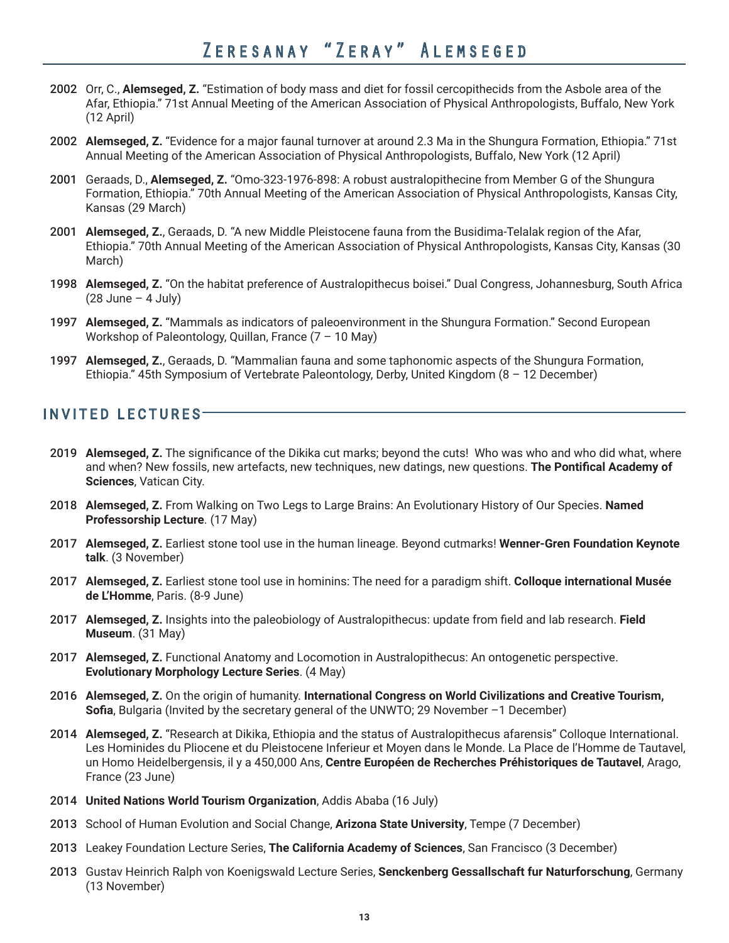- 2002 Orr, C., **Alemseged, Z.** "Estimation of body mass and diet for fossil cercopithecids from the Asbole area of the Afar, Ethiopia." 71st Annual Meeting of the American Association of Physical Anthropologists, Buffalo, New York (12 April)
- 2002 **Alemseged, Z.** "Evidence for a major faunal turnover at around 2.3 Ma in the Shungura Formation, Ethiopia." 71st Annual Meeting of the American Association of Physical Anthropologists, Buffalo, New York (12 April)
- 2001 Geraads, D., **Alemseged, Z.** "Omo-323-1976-898: A robust australopithecine from Member G of the Shungura Formation, Ethiopia." 70th Annual Meeting of the American Association of Physical Anthropologists, Kansas City, Kansas (29 March)
- 2001 **Alemseged, Z.**, Geraads, D. "A new Middle Pleistocene fauna from the Busidima-Telalak region of the Afar, Ethiopia." 70th Annual Meeting of the American Association of Physical Anthropologists, Kansas City, Kansas (30 March)
- 1998 **Alemseged, Z.** "On the habitat preference of Australopithecus boisei." Dual Congress, Johannesburg, South Africa  $(28$  June – 4 July)
- 1997 **Alemseged, Z.** "Mammals as indicators of paleoenvironment in the Shungura Formation." Second European Workshop of Paleontology, Quillan, France (7 – 10 May)
- 1997 **Alemseged, Z.**, Geraads, D. "Mammalian fauna and some taphonomic aspects of the Shungura Formation, Ethiopia." 45th Symposium of Vertebrate Paleontology, Derby, United Kingdom (8 – 12 December)

## INVITED LECTURES

- 2019 **Alemseged, Z.** The significance of the Dikika cut marks; beyond the cuts! Who was who and who did what, where and when? New fossils, new artefacts, new techniques, new datings, new questions. **The Pontifical Academy of Sciences**, Vatican City.
- 2018 **Alemseged, Z.** From Walking on Two Legs to Large Brains: An Evolutionary History of Our Species. **Named Professorship Lecture**. (17 May)
- 2017 **Alemseged, Z.** Earliest stone tool use in the human lineage. Beyond cutmarks! **Wenner-Gren Foundation Keynote talk**. (3 November)
- 2017 **Alemseged, Z.** Earliest stone tool use in hominins: The need for a paradigm shift. **Colloque international Musée de L'Homme**, Paris. (8-9 June)
- 2017 **Alemseged, Z.** Insights into the paleobiology of Australopithecus: update from field and lab research. **Field Museum**. (31 May)
- 2017 **Alemseged, Z.** Functional Anatomy and Locomotion in Australopithecus: An ontogenetic perspective. **Evolutionary Morphology Lecture Series**. (4 May)
- 2016 **Alemseged, Z.** On the origin of humanity. **International Congress on World Civilizations and Creative Tourism, Sofia**, Bulgaria (Invited by the secretary general of the UNWTO; 29 November -1 December)
- 2014 **Alemseged, Z.** "Research at Dikika, Ethiopia and the status of Australopithecus afarensis" Colloque International. Les Hominides du Pliocene et du Pleistocene Inferieur et Moyen dans le Monde. La Place de l'Homme de Tautavel, un Homo Heidelbergensis, il y a 450,000 Ans, **Centre Européen de Recherches Préhistoriques de Tautavel**, Arago, France (23 June)
- 2014 **United Nations World Tourism Organization**, Addis Ababa (16 July)
- 2013 School of Human Evolution and Social Change, **Arizona State University**, Tempe (7 December)
- 2013 Leakey Foundation Lecture Series, **The California Academy of Sciences**, San Francisco (3 December)
- 2013 Gustav Heinrich Ralph von Koenigswald Lecture Series, **Senckenberg Gessallschaft fur Naturforschung**, Germany (13 November)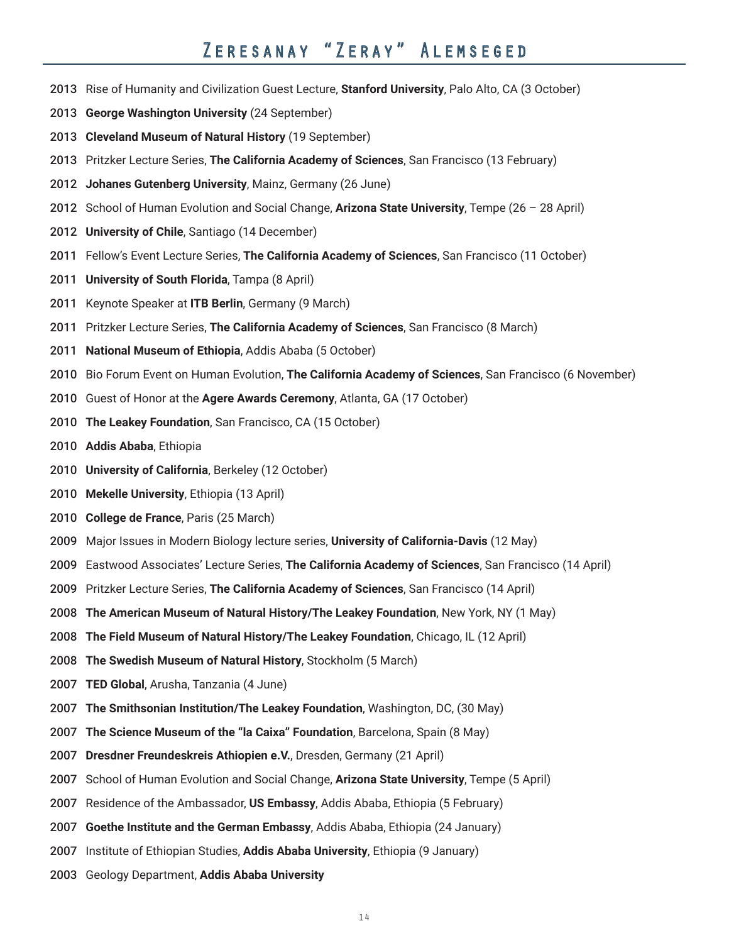- Rise of Humanity and Civilization Guest Lecture, **Stanford University**, Palo Alto, CA (3 October)
- **George Washington University** (24 September)
- **Cleveland Museum of Natural History** (19 September)
- Pritzker Lecture Series, **The California Academy of Sciences**, San Francisco (13 February)
- **Johanes Gutenberg University**, Mainz, Germany (26 June)
- School of Human Evolution and Social Change, **Arizona State University**, Tempe (26 28 April)
- **University of Chile**, Santiago (14 December)
- Fellow's Event Lecture Series, **The California Academy of Sciences**, San Francisco (11 October)
- **University of South Florida**, Tampa (8 April)
- Keynote Speaker at **ITB Berlin**, Germany (9 March)
- Pritzker Lecture Series, **The California Academy of Sciences**, San Francisco (8 March)
- **National Museum of Ethiopia**, Addis Ababa (5 October)
- Bio Forum Event on Human Evolution, **The California Academy of Sciences**, San Francisco (6 November)
- Guest of Honor at the **Agere Awards Ceremony**, Atlanta, GA (17 October)
- **The Leakey Foundation**, San Francisco, CA (15 October)
- **Addis Ababa**, Ethiopia
- **University of California**, Berkeley (12 October)
- **Mekelle University**, Ethiopia (13 April)
- **College de France**, Paris (25 March)
- Major Issues in Modern Biology lecture series, **University of California-Davis** (12 May)
- Eastwood Associates' Lecture Series, **The California Academy of Sciences**, San Francisco (14 April)
- Pritzker Lecture Series, **The California Academy of Sciences**, San Francisco (14 April)
- **The American Museum of Natural History/The Leakey Foundation**, New York, NY (1 May)
- **The Field Museum of Natural History/The Leakey Foundation**, Chicago, IL (12 April)
- **The Swedish Museum of Natural History**, Stockholm (5 March)
- **TED Global**, Arusha, Tanzania (4 June)
- **The Smithsonian Institution/The Leakey Foundation**, Washington, DC, (30 May)
- **The Science Museum of the "la Caixa" Foundation**, Barcelona, Spain (8 May)
- **Dresdner Freundeskreis Athiopien e.V.**, Dresden, Germany (21 April)
- School of Human Evolution and Social Change, **Arizona State University**, Tempe (5 April)
- Residence of the Ambassador, **US Embassy**, Addis Ababa, Ethiopia (5 February)
- **Goethe Institute and the German Embassy**, Addis Ababa, Ethiopia (24 January)
- Institute of Ethiopian Studies, **Addis Ababa University**, Ethiopia (9 January)
- Geology Department, **Addis Ababa University**